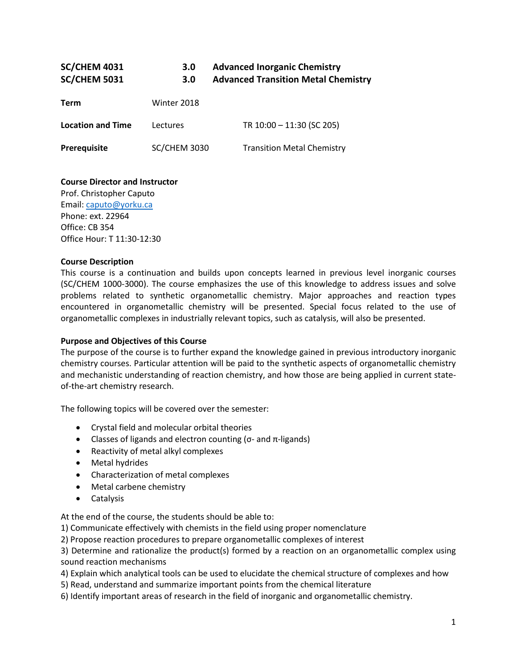| <b>SC/CHEM 4031</b><br><b>SC/CHEM 5031</b> | 3.0<br>3.0          | <b>Advanced Inorganic Chemistry</b><br><b>Advanced Transition Metal Chemistry</b> |  |
|--------------------------------------------|---------------------|-----------------------------------------------------------------------------------|--|
| Term                                       | Winter 2018         |                                                                                   |  |
| <b>Location and Time</b>                   | Lectures            | TR 10:00 - 11:30 (SC 205)                                                         |  |
| Prerequisite                               | <b>SC/CHEM 3030</b> | <b>Transition Metal Chemistry</b>                                                 |  |

#### **Course Director and Instructor**

Prof. Christopher Caputo Email: [caputo@yorku.ca](mailto:caputo@yorku.ca) Phone: ext. 22964 Office: CB 354 Office Hour: T 11:30-12:30

#### **Course Description**

This course is a continuation and builds upon concepts learned in previous level inorganic courses (SC/CHEM 1000-3000). The course emphasizes the use of this knowledge to address issues and solve problems related to synthetic organometallic chemistry. Major approaches and reaction types encountered in organometallic chemistry will be presented. Special focus related to the use of organometallic complexes in industrially relevant topics, such as catalysis, will also be presented.

#### **Purpose and Objectives of this Course**

The purpose of the course is to further expand the knowledge gained in previous introductory inorganic chemistry courses. Particular attention will be paid to the synthetic aspects of organometallic chemistry and mechanistic understanding of reaction chemistry, and how those are being applied in current stateof-the-art chemistry research.

The following topics will be covered over the semester:

- Crystal field and molecular orbital theories
- Classes of ligands and electron counting (σ- and  $π$ -ligands)
- Reactivity of metal alkyl complexes
- Metal hydrides
- Characterization of metal complexes
- Metal carbene chemistry
- Catalysis

At the end of the course, the students should be able to:

1) Communicate effectively with chemists in the field using proper nomenclature

2) Propose reaction procedures to prepare organometallic complexes of interest

3) Determine and rationalize the product(s) formed by a reaction on an organometallic complex using sound reaction mechanisms

4) Explain which analytical tools can be used to elucidate the chemical structure of complexes and how

5) Read, understand and summarize important points from the chemical literature

6) Identify important areas of research in the field of inorganic and organometallic chemistry.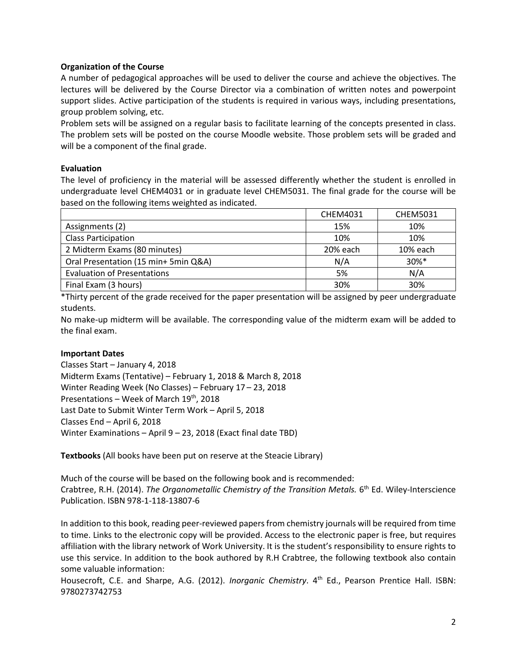# **Organization of the Course**

A number of pedagogical approaches will be used to deliver the course and achieve the objectives. The lectures will be delivered by the Course Director via a combination of written notes and powerpoint support slides. Active participation of the students is required in various ways, including presentations, group problem solving, etc.

Problem sets will be assigned on a regular basis to facilitate learning of the concepts presented in class. The problem sets will be posted on the course Moodle website. Those problem sets will be graded and will be a component of the final grade.

#### **Evaluation**

The level of proficiency in the material will be assessed differently whether the student is enrolled in undergraduate level CHEM4031 or in graduate level CHEM5031. The final grade for the course will be based on the following items weighted as indicated.

|                                      | <b>CHEM4031</b> | <b>CHEM5031</b> |
|--------------------------------------|-----------------|-----------------|
| Assignments (2)                      | 15%             | 10%             |
| <b>Class Participation</b>           | 10%             | 10%             |
| 2 Midterm Exams (80 minutes)         | 20% each        | 10% each        |
| Oral Presentation (15 min+ 5min Q&A) | N/A             | 30%*            |
| <b>Evaluation of Presentations</b>   | 5%              | N/A             |
| Final Exam (3 hours)                 | 30%             | 30%             |

\*Thirty percent of the grade received for the paper presentation will be assigned by peer undergraduate students.

No make-up midterm will be available. The corresponding value of the midterm exam will be added to the final exam.

#### **Important Dates**

Classes Start – January 4, 2018 Midterm Exams (Tentative) – February 1, 2018 & March 8, 2018 Winter Reading Week (No Classes) – February 17 – 23, 2018 Presentations – Week of March  $19<sup>th</sup>$ , 2018 Last Date to Submit Winter Term Work – April 5, 2018 Classes End – April 6, 2018 Winter Examinations – April 9 – 23, 2018 (Exact final date TBD)

**Textbooks** (All books have been put on reserve at the Steacie Library)

Much of the course will be based on the following book and is recommended: Crabtree, R.H. (2014). *The Organometallic Chemistry of the Transition Metals.* 6<sup>th</sup> Ed. Wiley-Interscience Publication. ISBN 978-1-118-13807-6

In addition to this book, reading peer-reviewed papers from chemistry journals will be required from time to time. Links to the electronic copy will be provided. Access to the electronic paper is free, but requires affiliation with the library network of Work University. It is the student's responsibility to ensure rights to use this service. In addition to the book authored by R.H Crabtree, the following textbook also contain some valuable information:

Housecroft, C.E. and Sharpe, A.G. (2012). *Inorganic Chemistry*. 4<sup>th</sup> Ed., Pearson Prentice Hall. ISBN: 9780273742753